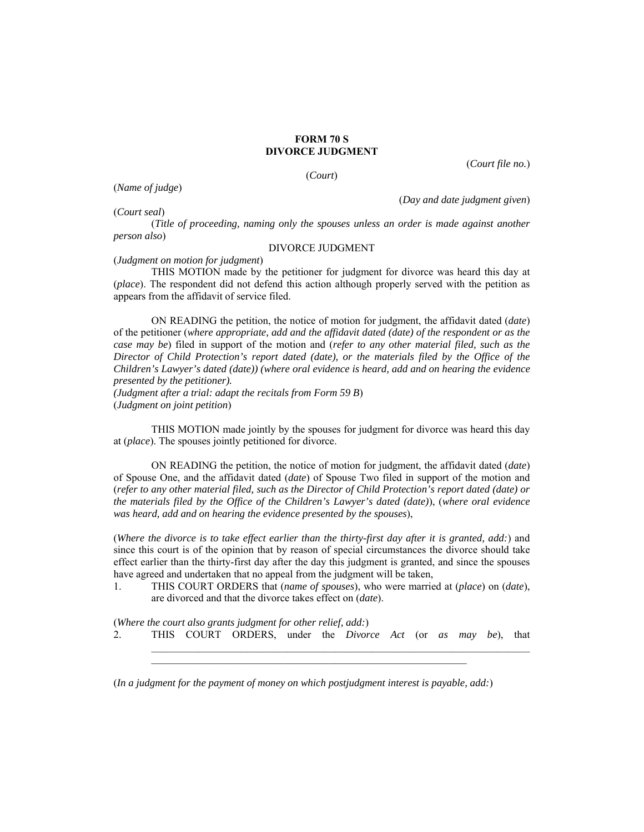## **FORM 70 S DIVORCE JUDGMENT**

(*Court*)

(*Court file no.*)

(*Court seal*)

(*Name of judge*)

(*Day and date judgment given*)

(*Title of proceeding, naming only the spouses unless an order is made against another person also*)

## DIVORCE JUDGMENT

(*Judgment on motion for judgment*)

THIS MOTION made by the petitioner for judgment for divorce was heard this day at (*place*). The respondent did not defend this action although properly served with the petition as appears from the affidavit of service filed.

ON READING the petition, the notice of motion for judgment, the affidavit dated (*date*) of the petitioner (*where appropriate, add and the affidavit dated (date) of the respondent or as the case may be*) filed in support of the motion and (*refer to any other material filed, such as the Director of Child Protection's report dated (date), or the materials filed by the Office of the Children's Lawyer's dated (date)) (where oral evidence is heard, add and on hearing the evidence presented by the petitioner).* 

*(Judgment after a trial: adapt the recitals from Form 59 B*) (*Judgment on joint petition*)

THIS MOTION made jointly by the spouses for judgment for divorce was heard this day at (*place*). The spouses jointly petitioned for divorce.

ON READING the petition, the notice of motion for judgment, the affidavit dated (*date*) of Spouse One, and the affidavit dated (*date*) of Spouse Two filed in support of the motion and (*refer to any other material filed, such as the Director of Child Protection's report dated (date) or the materials filed by the Office of the Children's Lawyer's dated (date)*), (*where oral evidence was heard, add and on hearing the evidence presented by the spouses*),

(*Where the divorce is to take effect earlier than the thirty-first day after it is granted, add:*) and since this court is of the opinion that by reason of special circumstances the divorce should take effect earlier than the thirty-first day after the day this judgment is granted, and since the spouses have agreed and undertaken that no appeal from the judgment will be taken,

1. THIS COURT ORDERS that (*name of spouses*), who were married at (*place*) on (*date*), are divorced and that the divorce takes effect on (*date*).

(*Where the court also grants judgment for other relief, add:*) 2. THIS COURT ORDERS, under the *Divorce Act* (or *as may be*), that

 $\_$  , and the set of the set of the set of the set of the set of the set of the set of the set of the set of the set of the set of the set of the set of the set of the set of the set of the set of the set of the set of th

(*In a judgment for the payment of money on which postjudgment interest is payable, add:*)

\_\_\_\_\_\_\_\_\_\_\_\_\_\_\_\_\_\_\_\_\_\_\_\_\_\_\_\_\_\_\_\_\_\_\_\_\_\_\_\_\_\_\_\_\_\_\_\_\_\_\_\_\_\_\_\_\_\_\_\_